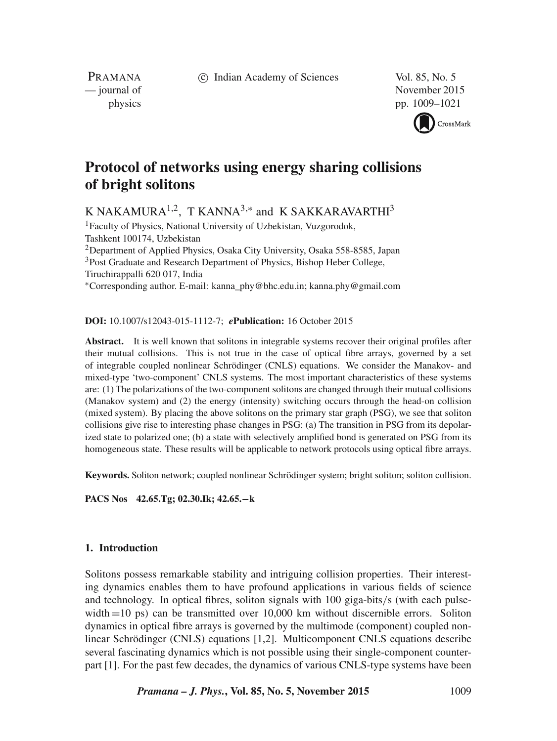c Indian Academy of Sciences Vol. 85, No. 5

PRAMANA<br>
— journal of

November 2015 physics pp. 1009–1021



# **Protocol of networks using energy sharing collisions of bright solitons**

K NAKAMURA $^{1,2}$ , T KANNA $^{3,*}$  and K SAKKARAVARTHI $^3$ 

<sup>1</sup> Faculty of Physics, National University of Uzbekistan, Vuzgorodok, Tashkent 100174, Uzbekistan <sup>2</sup>Department of Applied Physics, Osaka City University, Osaka 558-8585, Japan <sup>3</sup>Post Graduate and Research Department of Physics, Bishop Heber College, Tiruchirappalli 620 017, India ∗Corresponding author. E-mail: kanna\_phy@bhc.edu.in; kanna.phy@gmail.com

# **DOI:** 10.1007/s12043-015-1112-7; *e***Publication:** 16 October 2015

**Abstract.** It is well known that solitons in integrable systems recover their original profiles after their mutual collisions. This is not true in the case of optical fibre arrays, governed by a set of integrable coupled nonlinear Schrödinger (CNLS) equations. We consider the Manakov- and mixed-type 'two-component' CNLS systems. The most important characteristics of these systems are: (1) The polarizations of the two-component solitons are changed through their mutual collisions (Manakov system) and (2) the energy (intensity) switching occurs through the head-on collision (mixed system). By placing the above solitons on the primary star graph (PSG), we see that soliton collisions give rise to interesting phase changes in PSG: (a) The transition in PSG from its depolarized state to polarized one; (b) a state with selectively amplified bond is generated on PSG from its homogeneous state. These results will be applicable to network protocols using optical fibre arrays.

**Keywords.** Soliton network; coupled nonlinear Schrödinger system; bright soliton; soliton collision.

**PACS Nos 42.65.Tg; 02.30.Ik; 42.65.**−**k**

# **1. Introduction**

Solitons possess remarkable stability and intriguing collision properties. Their interesting dynamics enables them to have profound applications in various fields of science and technology. In optical fibres, soliton signals with 100 giga-bits/s (with each pulsewidth =10 ps) can be transmitted over 10,000 km without discernible errors. Soliton dynamics in optical fibre arrays is governed by the multimode (component) coupled nonlinear Schrödinger (CNLS) equations [1,2]. Multicomponent CNLS equations describe several fascinating dynamics which is not possible using their single-component counterpart [1]. For the past few decades, the dynamics of various CNLS-type systems have been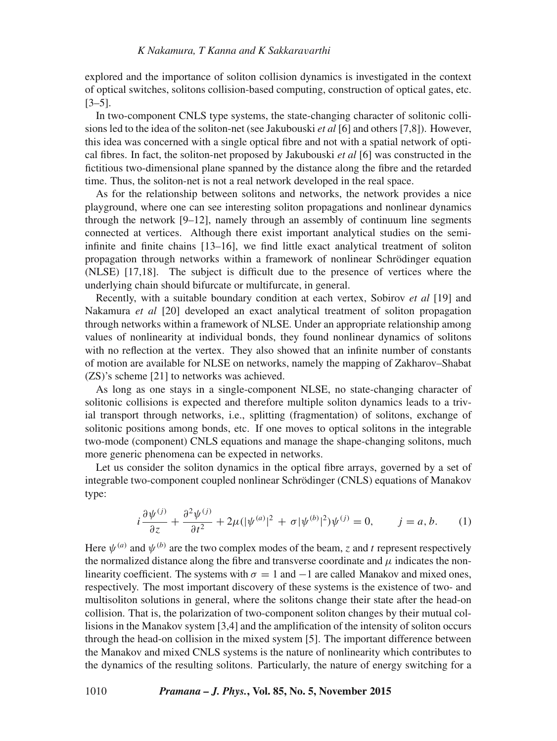explored and the importance of soliton collision dynamics is investigated in the context of optical switches, solitons collision-based computing, construction of optical gates, etc. [3–5].

In two-component CNLS type systems, the state-changing character of solitonic collisions led to the idea of the soliton-net (see Jakubouski *et al* [6] and others [7,8]). However, this idea was concerned with a single optical fibre and not with a spatial network of optical fibres. In fact, the soliton-net proposed by Jakubouski *et al* [6] was constructed in the fictitious two-dimensional plane spanned by the distance along the fibre and the retarded time. Thus, the soliton-net is not a real network developed in the real space.

As for the relationship between solitons and networks, the network provides a nice playground, where one can see interesting soliton propagations and nonlinear dynamics through the network [9–12], namely through an assembly of continuum line segments connected at vertices. Although there exist important analytical studies on the semiinfinite and finite chains [13–16], we find little exact analytical treatment of soliton propagation through networks within a framework of nonlinear Schrödinger equation (NLSE) [17,18]. The subject is difficult due to the presence of vertices where the underlying chain should bifurcate or multifurcate, in general.

Recently, with a suitable boundary condition at each vertex, Sobirov *et al* [19] and Nakamura *et al* [20] developed an exact analytical treatment of soliton propagation through networks within a framework of NLSE. Under an appropriate relationship among values of nonlinearity at individual bonds, they found nonlinear dynamics of solitons with no reflection at the vertex. They also showed that an infinite number of constants of motion are available for NLSE on networks, namely the mapping of Zakharov–Shabat (ZS)'s scheme [21] to networks was achieved.

As long as one stays in a single-component NLSE, no state-changing character of solitonic collisions is expected and therefore multiple soliton dynamics leads to a trivial transport through networks, i.e., splitting (fragmentation) of solitons, exchange of solitonic positions among bonds, etc. If one moves to optical solitons in the integrable two-mode (component) CNLS equations and manage the shape-changing solitons, much more generic phenomena can be expected in networks.

Let us consider the soliton dynamics in the optical fibre arrays, governed by a set of integrable two-component coupled nonlinear Schrödinger (CNLS) equations of Manakov type:

$$
i\frac{\partial\psi^{(j)}}{\partial z} + \frac{\partial^2\psi^{(j)}}{\partial t^2} + 2\mu(|\psi^{(a)}|^2 + \sigma|\psi^{(b)}|^2)\psi^{(j)} = 0, \qquad j = a, b. \tag{1}
$$

Here  $\psi^{(a)}$  and  $\psi^{(b)}$  are the two complex modes of the beam, z and t represent respectively the normalized distance along the fibre and transverse coordinate and  $\mu$  indicates the nonlinearity coefficient. The systems with  $\sigma = 1$  and  $-1$  are called Manakov and mixed ones, respectively. The most important discovery of these systems is the existence of two- and multisoliton solutions in general, where the solitons change their state after the head-on collision. That is, the polarization of two-component soliton changes by their mutual collisions in the Manakov system [3,4] and the amplification of the intensity of soliton occurs through the head-on collision in the mixed system [5]. The important difference between the Manakov and mixed CNLS systems is the nature of nonlinearity which contributes to the dynamics of the resulting solitons. Particularly, the nature of energy switching for a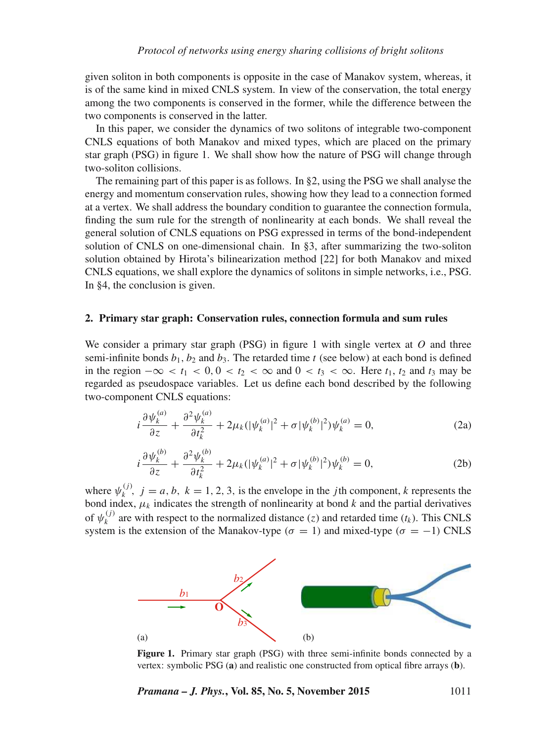given soliton in both components is opposite in the case of Manakov system, whereas, it is of the same kind in mixed CNLS system. In view of the conservation, the total energy among the two components is conserved in the former, while the difference between the two components is conserved in the latter.

In this paper, we consider the dynamics of two solitons of integrable two-component CNLS equations of both Manakov and mixed types, which are placed on the primary star graph (PSG) in figure 1. We shall show how the nature of PSG will change through two-soliton collisions.

The remaining part of this paper is as follows. In §2, using the PSG we shall analyse the energy and momentum conservation rules, showing how they lead to a connection formed at a vertex. We shall address the boundary condition to guarantee the connection formula, finding the sum rule for the strength of nonlinearity at each bonds. We shall reveal the general solution of CNLS equations on PSG expressed in terms of the bond-independent solution of CNLS on one-dimensional chain. In §3, after summarizing the two-soliton solution obtained by Hirota's bilinearization method [22] for both Manakov and mixed CNLS equations, we shall explore the dynamics of solitons in simple networks, i.e., PSG. In §4, the conclusion is given.

### **2. Primary star graph: Conservation rules, connection formula and sum rules**

We consider a primary star graph (PSG) in figure 1 with single vertex at  $O$  and three semi-infinite bonds  $b_1$ ,  $b_2$  and  $b_3$ . The retarded time t (see below) at each bond is defined in the region  $-\infty < t_1 < 0, 0 < t_2 < \infty$  and  $0 < t_3 < \infty$ . Here  $t_1, t_2$  and  $t_3$  may be regarded as pseudospace variables. Let us define each bond described by the following two-component CNLS equations:

$$
i\frac{\partial\psi_k^{(a)}}{\partial z} + \frac{\partial^2\psi_k^{(a)}}{\partial t_k^2} + 2\mu_k(|\psi_k^{(a)}|^2 + \sigma|\psi_k^{(b)}|^2)\psi_k^{(a)} = 0,
$$
 (2a)

$$
i\frac{\partial \psi_k^{(b)}}{\partial z} + \frac{\partial^2 \psi_k^{(b)}}{\partial t_k^2} + 2\mu_k (|\psi_k^{(a)}|^2 + \sigma |\psi_k^{(b)}|^2) \psi_k^{(b)} = 0, \tag{2b}
$$

where  $\psi_k^{(j)}$ ,  $j = a, b, k = 1, 2, 3$ , is the envelope in the *j*th component, *k* represents the bond index,  $\mu_k$  indicates the strength of nonlinearity at bond k and the partial derivatives of  $\psi_k^{(j)}$  are with respect to the normalized distance (z) and retarded time (t<sub>k</sub>). This CNLS system is the extension of the Manakov-type ( $\sigma = 1$ ) and mixed-type ( $\sigma = -1$ ) CNLS



**Figure 1.** Primary star graph (PSG) with three semi-infinite bonds connected by a vertex: symbolic PSG (**a**) and realistic one constructed from optical fibre arrays (**b**).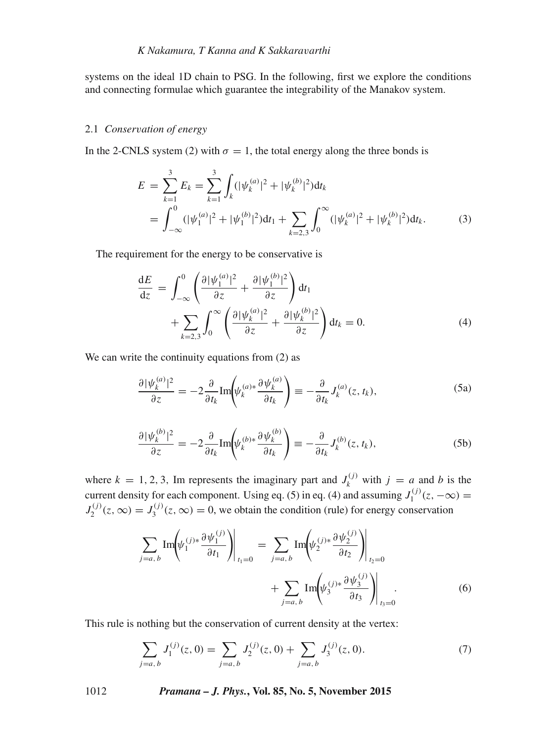systems on the ideal 1D chain to PSG. In the following, first we explore the conditions and connecting formulae which guarantee the integrability of the Manakov system.

#### 2.1 *Conser*v*ation of energy*

In the 2-CNLS system (2) with  $\sigma = 1$ , the total energy along the three bonds is

$$
E = \sum_{k=1}^{3} E_k = \sum_{k=1}^{3} \int_k (|\psi_k^{(a)}|^2 + |\psi_k^{(b)}|^2) dt_k
$$
  
= 
$$
\int_{-\infty}^{0} (|\psi_1^{(a)}|^2 + |\psi_1^{(b)}|^2) dt_1 + \sum_{k=2,3} \int_{0}^{\infty} (|\psi_k^{(a)}|^2 + |\psi_k^{(b)}|^2) dt_k.
$$
 (3)

The requirement for the energy to be conservative is

$$
\frac{dE}{dz} = \int_{-\infty}^{0} \left( \frac{\partial |\psi_1^{(a)}|^2}{\partial z} + \frac{\partial |\psi_1^{(b)}|^2}{\partial z} \right) dt_1 \n+ \sum_{k=2,3} \int_{0}^{\infty} \left( \frac{\partial |\psi_k^{(a)}|^2}{\partial z} + \frac{\partial |\psi_k^{(b)}|^2}{\partial z} \right) dt_k = 0.
$$
\n(4)

We can write the continuity equations from  $(2)$  as

$$
\frac{\partial |\psi_k^{(a)}|^2}{\partial z} = -2 \frac{\partial}{\partial t_k} \text{Im} \left( \psi_k^{(a)*} \frac{\partial \psi_k^{(a)}}{\partial t_k} \right) \equiv -\frac{\partial}{\partial t_k} J_k^{(a)}(z, t_k), \tag{5a}
$$

$$
\frac{\partial |\psi_k^{(b)}|^2}{\partial z} = -2 \frac{\partial}{\partial t_k} \text{Im} \left( \psi_k^{(b)*} \frac{\partial \psi_k^{(b)}}{\partial t_k} \right) \equiv -\frac{\partial}{\partial t_k} J_k^{(b)}(z, t_k), \tag{5b}
$$

where  $k = 1, 2, 3$ , Im represents the imaginary part and  $J_k^{(j)}$  with  $j = a$  and b is the current density for each component. Using eq. (5) in eq. (4) and assuming  $J_1^{(j)}$  $J_1^{(1)}(z,-\infty) =$  $J_2^{(j)}$  $J_2^{(j)}(z,\infty) = J_3^{(j)}$  $S_3^{(1)}(z,\infty) = 0$ , we obtain the condition (rule) for energy conservation

$$
\sum_{j=a,b} \text{Im}\left(\psi_1^{(j)*} \frac{\partial \psi_1^{(j)}}{\partial t_1}\right)\Big|_{t_1=0} = \sum_{j=a,b} \text{Im}\left(\psi_2^{(j)*} \frac{\partial \psi_2^{(j)}}{\partial t_2}\right)\Big|_{t_2=0} + \sum_{j=a,b} \text{Im}\left(\psi_3^{(j)*} \frac{\partial \psi_3^{(j)}}{\partial t_3}\right)\Big|_{t_3=0}.
$$
 (6)

This rule is nothing but the conservation of current density at the vertex:

$$
\sum_{j=a,\,b} J_1^{(j)}(z,0) = \sum_{j=a,\,b} J_2^{(j)}(z,0) + \sum_{j=a,\,b} J_3^{(j)}(z,0). \tag{7}
$$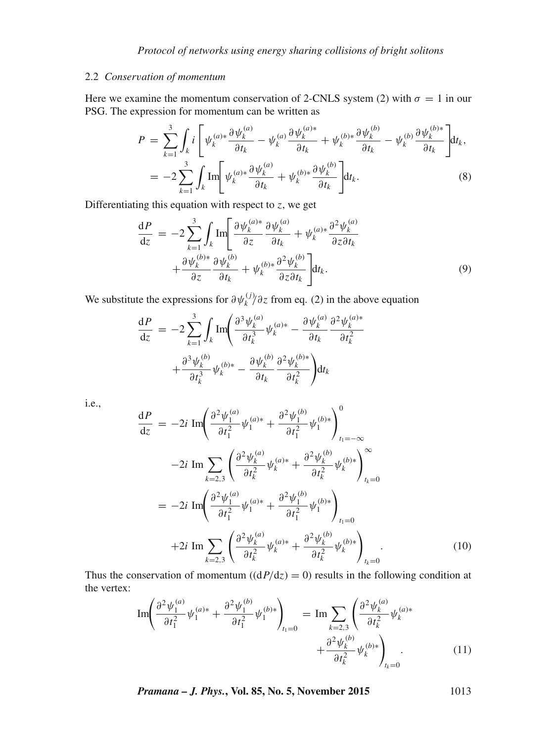# 2.2 *Conser*v*ation of momentum*

Here we examine the momentum conservation of 2-CNLS system (2) with  $\sigma = 1$  in our PSG. The expression for momentum can be written as

$$
P = \sum_{k=1}^{3} \int_{k} i \left[ \psi_k^{(a)*} \frac{\partial \psi_k^{(a)}}{\partial t_k} - \psi_k^{(a)} \frac{\partial \psi_k^{(a)*}}{\partial t_k} + \psi_k^{(b)*} \frac{\partial \psi_k^{(b)}}{\partial t_k} - \psi_k^{(b)} \frac{\partial \psi_k^{(b)*}}{\partial t_k} \right] dt_k,
$$
  
= 
$$
-2 \sum_{k=1}^{3} \int_{k} \text{Im} \left[ \psi_k^{(a)*} \frac{\partial \psi_k^{(a)}}{\partial t_k} + \psi_k^{(b)*} \frac{\partial \psi_k^{(b)}}{\partial t_k} \right] dt_k.
$$
 (8)

Differentiating this equation with respect to  $z$ , we get

$$
\frac{dP}{dz} = -2 \sum_{k=1}^{3} \int_{k} \text{Im} \left[ \frac{\partial \psi_{k}^{(a)*}}{\partial z} \frac{\partial \psi_{k}^{(a)}}{\partial t_{k}} + \psi_{k}^{(a)*} \frac{\partial^{2} \psi_{k}^{(a)}}{\partial z \partial t_{k}} + \frac{\partial \psi_{k}^{(b)*}}{\partial z} \frac{\partial \psi_{k}^{(b)}}{\partial t_{k}} + \psi_{k}^{(b)*} \frac{\partial^{2} \psi_{k}^{(b)}}{\partial z \partial t_{k}} \right] dt_{k}.
$$
\n(9)

We substitute the expressions for  $\partial \psi_k^{(j)} / \partial z$  from eq. (2) in the above equation

$$
\frac{\mathrm{d}P}{\mathrm{d}z} = -2 \sum_{k=1}^{3} \int_{k} \text{Im} \left( \frac{\partial^{3} \psi_{k}^{(a)}}{\partial t_{k}^{3}} \psi_{k}^{(a)*} - \frac{\partial \psi_{k}^{(a)}}{\partial t_{k}} \frac{\partial^{2} \psi_{k}^{(a)*}}{\partial t_{k}^{2}} + \frac{\partial^{3} \psi_{k}^{(b)}}{\partial t_{k}^{3}} \psi_{k}^{(b)*} - \frac{\partial \psi_{k}^{(b)}}{\partial t_{k}} \frac{\partial^{2} \psi_{k}^{(b)*}}{\partial t_{k}^{2}} \right) \mathrm{d}t_{k}
$$

i.e.,

$$
\frac{dP}{dz} = -2i \operatorname{Im} \left( \frac{\partial^2 \psi_1^{(a)}}{\partial t_1^2} \psi_1^{(a)*} + \frac{\partial^2 \psi_1^{(b)}}{\partial t_1^2} \psi_1^{(b)*} \right)_{t_1 = -\infty}^0
$$
  
\n
$$
-2i \operatorname{Im} \sum_{k=2,3} \left( \frac{\partial^2 \psi_k^{(a)}}{\partial t_k^2} \psi_k^{(a)*} + \frac{\partial^2 \psi_k^{(b)}}{\partial t_k^2} \psi_k^{(b)*} \right)_{t_k = 0}^{\infty}
$$
  
\n
$$
= -2i \operatorname{Im} \left( \frac{\partial^2 \psi_1^{(a)}}{\partial t_1^2} \psi_1^{(a)*} + \frac{\partial^2 \psi_1^{(b)}}{\partial t_1^2} \psi_1^{(b)*} \right)_{t_1 = 0}
$$
  
\n
$$
+2i \operatorname{Im} \sum_{k=2,3} \left( \frac{\partial^2 \psi_k^{(a)}}{\partial t_k^2} \psi_k^{(a)*} + \frac{\partial^2 \psi_k^{(b)}}{\partial t_k^2} \psi_k^{(b)*} \right)_{t_k = 0}.
$$
  
\n(10)

Thus the conservation of momentum  $((dP/dz) = 0)$  results in the following condition at the vertex:

$$
\operatorname{Im}\left(\frac{\partial^2 \psi_1^{(a)}}{\partial t_1^2} \psi_1^{(a)*} + \frac{\partial^2 \psi_1^{(b)}}{\partial t_1^2} \psi_1^{(b)*}\right)_{t_1=0} = \operatorname{Im} \sum_{k=2,3} \left(\frac{\partial^2 \psi_k^{(a)}}{\partial t_k^2} \psi_k^{(a)*} + \frac{\partial^2 \psi_k^{(b)}}{\partial t_k^2} \psi_k^{(b)*}\right)_{t_k=0}.
$$
 (11)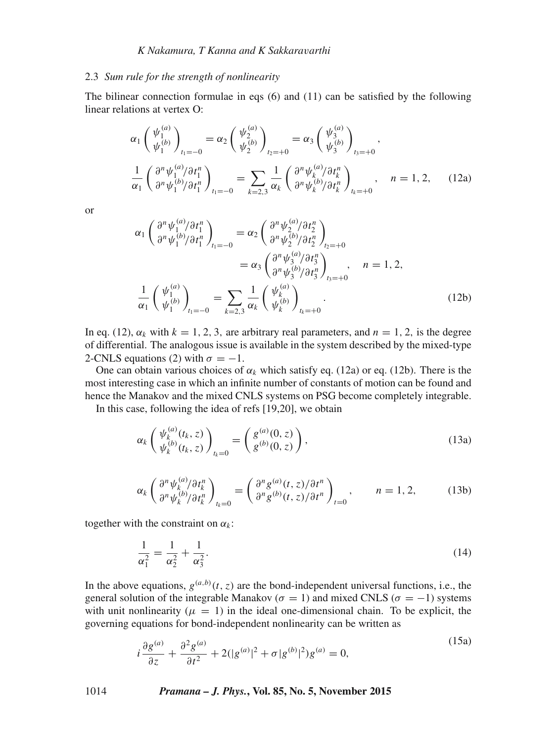#### 2.3 *Sum rule for the strength of nonlinearity*

The bilinear connection formulae in eqs  $(6)$  and  $(11)$  can be satisfied by the following linear relations at vertex O:

$$
\alpha_{1} \begin{pmatrix} \psi_{1}^{(a)} \\ \psi_{1}^{(b)} \end{pmatrix}_{t_{1}=-0} = \alpha_{2} \begin{pmatrix} \psi_{2}^{(a)} \\ \psi_{2}^{(b)} \end{pmatrix}_{t_{2}=-0} = \alpha_{3} \begin{pmatrix} \psi_{3}^{(a)} \\ \psi_{3}^{(b)} \end{pmatrix}_{t_{3}=-0},
$$
  

$$
\frac{1}{\alpha_{1}} \begin{pmatrix} \partial^{n} \psi_{1}^{(a)} / \partial t_{1}^{n} \\ \partial^{n} \psi_{1}^{(b)} / \partial t_{1}^{n} \end{pmatrix}_{t_{1}=-0} = \sum_{k=2,3} \frac{1}{\alpha_{k}} \begin{pmatrix} \partial^{n} \psi_{k}^{(a)} / \partial t_{k}^{n} \\ \partial^{n} \psi_{k}^{(b)} / \partial t_{k}^{n} \end{pmatrix}_{t_{k}=-0}, \quad n = 1, 2,
$$
 (12a)

or

$$
\alpha_{1} \left( \frac{\partial^{n} \psi_{1}^{(a)} / \partial t_{1}^{n}}{\partial^{n} \psi_{1}^{(b)} / \partial t_{1}^{n}} \right)_{t_{1} = -0} = \alpha_{2} \left( \frac{\partial^{n} \psi_{2}^{(a)} / \partial t_{2}^{n}}{\partial^{n} \psi_{2}^{(b)} / \partial t_{2}^{n}} \right)_{t_{2} = +0}
$$
\n
$$
= \alpha_{3} \left( \frac{\partial^{n} \psi_{3}^{(a)} / \partial t_{3}^{n}}{\partial^{n} \psi_{3}^{(b)} / \partial t_{3}^{n}} \right)_{t_{3} = +0}, \quad n = 1, 2,
$$
\n
$$
\frac{1}{\alpha_{1}} \left( \frac{\psi_{1}^{(a)}}{\psi_{1}^{(b)}} \right)_{t_{1} = -0} = \sum_{k=2,3} \frac{1}{\alpha_{k}} \left( \frac{\psi_{k}^{(a)}}{\psi_{k}^{(b)}} \right)_{t_{k} = +0}.
$$
\n(12b)

In eq. (12),  $\alpha_k$  with  $k = 1, 2, 3$ , are arbitrary real parameters, and  $n = 1, 2$ , is the degree of differential. The analogous issue is available in the system described by the mixed-type 2-CNLS equations (2) with  $\sigma = -1$ .

One can obtain various choices of  $\alpha_k$  which satisfy eq. (12a) or eq. (12b). There is the most interesting case in which an infinite number of constants of motion can be found and hence the Manakov and the mixed CNLS systems on PSG become completely integrable.

In this case, following the idea of refs [19,20], we obtain

$$
\alpha_k \begin{pmatrix} \psi_k^{(a)}(t_k, z) \\ \psi_k^{(b)}(t_k, z) \end{pmatrix}_{t_k=0} = \begin{pmatrix} g^{(a)}(0, z) \\ g^{(b)}(0, z) \end{pmatrix},
$$
\n(13a)

$$
\alpha_k \left( \frac{\partial^n \psi_k^{(a)}}{\partial^n \psi_k^{(b)}/\partial t_k^n} \right)_{t_k=0} = \left( \frac{\partial^n g^{(a)}(t,z)/\partial t^n}{\partial^n g^{(b)}(t,z)/\partial t^n} \right)_{t=0}, \qquad n = 1, 2,
$$
 (13b)

together with the constraint on  $\alpha_k$ :

$$
\frac{1}{\alpha_1^2} = \frac{1}{\alpha_2^2} + \frac{1}{\alpha_3^2}.\tag{14}
$$

In the above equations,  $g^{(a,b)}(t, z)$  are the bond-independent universal functions, i.e., the general solution of the integrable Manakov ( $\sigma = 1$ ) and mixed CNLS ( $\sigma = -1$ ) systems with unit nonlinearity ( $\mu = 1$ ) in the ideal one-dimensional chain. To be explicit, the governing equations for bond-independent nonlinearity can be written as

$$
i\frac{\partial g^{(a)}}{\partial z} + \frac{\partial^2 g^{(a)}}{\partial t^2} + 2(|g^{(a)}|^2 + \sigma |g^{(b)}|^2)g^{(a)} = 0,
$$
\n(15a)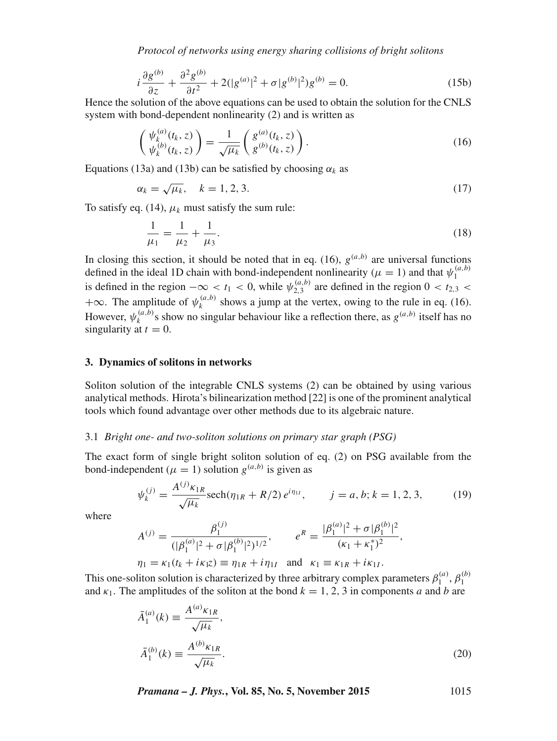*Protocol of networks using energy sharing collisions of bright solitons*

$$
i\frac{\partial g^{(b)}}{\partial z} + \frac{\partial^2 g^{(b)}}{\partial t^2} + 2(|g^{(a)}|^2 + \sigma |g^{(b)}|^2)g^{(b)} = 0.
$$
 (15b)

Hence the solution of the above equations can be used to obtain the solution for the CNLS system with bond-dependent nonlinearity (2) and is written as

$$
\begin{pmatrix} \psi_k^{(a)}(t_k, z) \\ \psi_k^{(b)}(t_k, z) \end{pmatrix} = \frac{1}{\sqrt{\mu_k}} \begin{pmatrix} g^{(a)}(t_k, z) \\ g^{(b)}(t_k, z) \end{pmatrix} . \tag{16}
$$

Equations (13a) and (13b) can be satisfied by choosing  $\alpha_k$  as

$$
\alpha_k = \sqrt{\mu_k}, \quad k = 1, 2, 3. \tag{17}
$$

To satisfy eq. (14),  $\mu_k$  must satisfy the sum rule:

$$
\frac{1}{\mu_1} = \frac{1}{\mu_2} + \frac{1}{\mu_3}.\tag{18}
$$

In closing this section, it should be noted that in eq. (16),  $g^{(a,b)}$  are universal functions defined in the ideal 1D chain with bond-independent nonlinearity ( $\mu = 1$ ) and that  $\psi_1^{(a,b)}$ is defined in the region  $-\infty < t_1 < 0$ , while  $\psi_{2,3}^{(a,b)}$  are defined in the region  $0 < t_{2,3} <$  $+\infty$ . The amplitude of  $\psi_k^{(a,b)}$  shows a jump at the vertex, owing to the rule in eq. (16). However,  $\psi_k^{(a,b)}$ s show no singular behaviour like a reflection there, as  $g^{(a,b)}$  itself has no singularity at  $t = 0$ .

#### **3. Dynamics of solitons in networks**

Soliton solution of the integrable CNLS systems (2) can be obtained by using various analytical methods. Hirota's bilinearization method [22] is one of the prominent analytical tools which found advantage over other methods due to its algebraic nature.

### 3.1 *Bright one- and two-soliton solutions on primary star graph (PSG)*

The exact form of single bright soliton solution of eq. (2) on PSG available from the bond-independent ( $\mu = 1$ ) solution  $g^{(a,b)}$  is given as

$$
\psi_k^{(j)} = \frac{A^{(j)} \kappa_{1R}}{\sqrt{\mu_k}} \operatorname{sech}(\eta_{1R} + R/2) e^{i\eta_{1I}}, \qquad j = a, b; k = 1, 2, 3,
$$
 (19)

where

$$
A^{(j)} = \frac{\beta_1^{(j)}}{(|\beta_1^{(a)}|^2 + \sigma |\beta_1^{(b)}|^2)^{1/2}}, \qquad e^R = \frac{|\beta_1^{(a)}|^2 + \sigma |\beta_1^{(b)}|^2}{(\kappa_1 + \kappa_1^*)^2},
$$
  

$$
\eta_1 = \kappa_1(t_k + i\kappa_1 z) \equiv \eta_{1R} + i\eta_{1I} \text{ and } \kappa_1 \equiv \kappa_{1R} + i\kappa_{1I}.
$$

This one-soliton solution is characterized by three arbitrary complex parameters  $\beta_1^{(a)}$ ,  $\beta_1^{(b)}$ and  $\kappa_1$ . The amplitudes of the soliton at the bond  $k = 1, 2, 3$  in components a and b are

$$
\bar{A}_{1}^{(a)}(k) \equiv \frac{A^{(a)} \kappa_{1R}}{\sqrt{\mu_{k}}},
$$
\n
$$
\bar{A}_{1}^{(b)}(k) \equiv \frac{A^{(b)} \kappa_{1R}}{\sqrt{\mu_{k}}}.
$$
\n(20)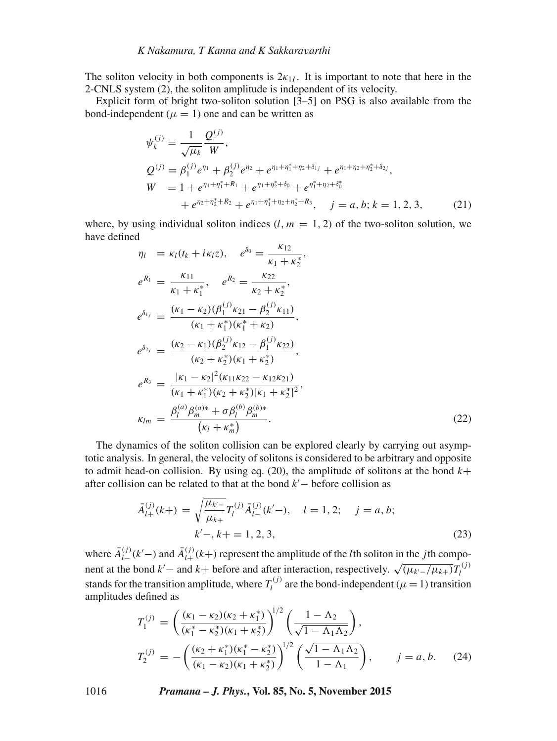# *K Nakamura, T Kanna and K Sakkara*v*arthi*

The soliton velocity in both components is  $2k_{1I}$ . It is important to note that here in the 2-CNLS system (2), the soliton amplitude is independent of its velocity.

Explicit form of bright two-soliton solution [3–5] on PSG is also available from the bond-independent ( $\mu = 1$ ) one and can be written as

$$
\psi_k^{(j)} = \frac{1}{\sqrt{\mu_k}} \frac{Q^{(j)}}{W},
$$
\n
$$
Q^{(j)} = \beta_1^{(j)} e^{\eta_1} + \beta_2^{(j)} e^{\eta_2} + e^{\eta_1 + \eta_1^* + \eta_2 + \delta_{1j}} + e^{\eta_1 + \eta_2 + \eta_2^* + \delta_{2j}},
$$
\n
$$
W = 1 + e^{\eta_1 + \eta_1^* + R_1} + e^{\eta_1 + \eta_2^* + \delta_0} + e^{\eta_1^* + \eta_2 + \delta_0^*}
$$
\n
$$
+ e^{\eta_2 + \eta_2^* + R_2} + e^{\eta_1 + \eta_1^* + \eta_2 + \eta_2^* + R_3}, \quad j = a, b; k = 1, 2, 3,
$$
\n(21)

where, by using individual soliton indices  $(l, m = 1, 2)$  of the two-soliton solution, we have defined

$$
\eta_l = \kappa_l(t_k + i\kappa_l z), \quad e^{\delta_0} = \frac{\kappa_{12}}{\kappa_1 + \kappa_2^*},
$$
\n
$$
e^{R_1} = \frac{\kappa_{11}}{\kappa_1 + \kappa_1^*}, \quad e^{R_2} = \frac{\kappa_{22}}{\kappa_2 + \kappa_2^*},
$$
\n
$$
e^{\delta_{1j}} = \frac{(\kappa_1 - \kappa_2)(\beta_1^{(j)}\kappa_{21} - \beta_2^{(j)}\kappa_{11})}{(\kappa_1 + \kappa_1^*)(\kappa_1^* + \kappa_2)},
$$
\n
$$
e^{\delta_{2j}} = \frac{(\kappa_2 - \kappa_1)(\beta_2^{(j)}\kappa_{12} - \beta_1^{(j)}\kappa_{22})}{(\kappa_2 + \kappa_2^*)(\kappa_1 + \kappa_2^*)},
$$
\n
$$
e^{R_3} = \frac{|\kappa_1 - \kappa_2|^2(\kappa_{11}\kappa_{22} - \kappa_{12}\kappa_{21})}{(\kappa_1 + \kappa_1^*)(\kappa_2 + \kappa_2^*)|\kappa_1 + \kappa_2^*|^2},
$$
\n
$$
\kappa_{lm} = \frac{\beta_l^{(a)}\beta_m^{(a)*} + \sigma\beta_l^{(b)}\beta_m^{(b)*}}{(\kappa_l + \kappa_m^*)}.
$$
\n(22)

The dynamics of the soliton collision can be explored clearly by carrying out asymptotic analysis. In general, the velocity of solitons is considered to be arbitrary and opposite to admit head-on collision. By using eq. (20), the amplitude of solitons at the bond  $k+$ after collision can be related to that at the bond  $k'$  – before collision as

$$
\bar{A}_{l+}^{(j)}(k+) = \sqrt{\frac{\mu_{k'-}}{\mu_{k+}}} T_l^{(j)} \bar{A}_{l-}^{(j)}(k'-), \quad l = 1, 2; \quad j = a, b; \nk'-, k+ = 1, 2, 3,
$$
\n(23)

where  $\bar{A}_{l-}^{(j)}(k'-)$  and  $\bar{A}_{l+}^{(j)}(k+)$  represent the amplitude of the *l*th soliton in the *j*th component at the bond  $k'$  – and  $k$  + before and after interaction, respectively.  $\sqrt{(\mu_{k'} - / \mu_{k+})} T_l^{(j)}$ stands for the transition amplitude, where  $T_l^{(j)}$  are the bond-independent ( $\mu = 1$ ) transition amplitudes defined as

$$
T_1^{(j)} = \left(\frac{(\kappa_1 - \kappa_2)(\kappa_2 + \kappa_1^*)}{(\kappa_1^* - \kappa_2^*)(\kappa_1 + \kappa_2^*)}\right)^{1/2} \left(\frac{1 - \Lambda_2}{\sqrt{1 - \Lambda_1 \Lambda_2}}\right),
$$
  
\n
$$
T_2^{(j)} = -\left(\frac{(\kappa_2 + \kappa_1^*)(\kappa_1^* - \kappa_2^*)}{(\kappa_1 - \kappa_2)(\kappa_1 + \kappa_2^*)}\right)^{1/2} \left(\frac{\sqrt{1 - \Lambda_1 \Lambda_2}}{1 - \Lambda_1}\right), \qquad j = a, b. \quad (24)
$$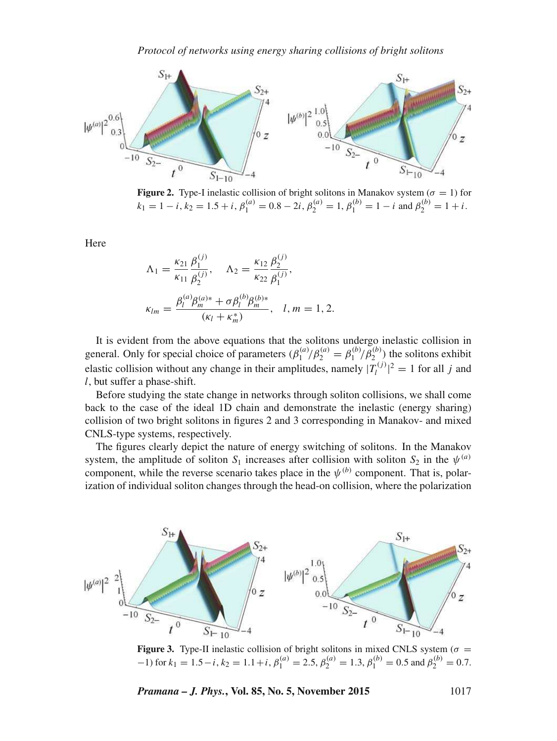

**Figure 2.** Type-I inelastic collision of bright solitons in Manakov system  $(\sigma = 1)$  for  $k_1 = 1 - i$ ,  $k_2 = 1.5 + i$ ,  $\beta_1^{(a)} = 0.8 - 2i$ ,  $\beta_2^{(a)} = 1$ ,  $\beta_1^{(b)} = 1 - i$  and  $\beta_2^{(b)} = 1 + i$ .

Here

$$
\Lambda_1 = \frac{\kappa_{21}}{\kappa_{11}} \frac{\beta_1^{(j)}}{\beta_2^{(j)}}, \quad \Lambda_2 = \frac{\kappa_{12}}{\kappa_{22}} \frac{\beta_2^{(j)}}{\beta_1^{(j)}},
$$

$$
\kappa_{lm} = \frac{\beta_l^{(a)} \beta_m^{(a)*} + \sigma \beta_l^{(b)} \beta_m^{(b)*}}{(\kappa_l + \kappa_m^*)}, \quad l, m = 1, 2.
$$

It is evident from the above equations that the solitons undergo inelastic collision in general. Only for special choice of parameters  $(\beta_1^{(a)} / \beta_2^{(a)} = \beta_1^{(b)} / \beta_2^{(b)})$  the solitons exhibit elastic collision without any change in their amplitudes, namely  $|T_l^{(j)}|^2 = 1$  for all j and l, but suffer a phase-shift.

Before studying the state change in networks through soliton collisions, we shall come back to the case of the ideal 1D chain and demonstrate the inelastic (energy sharing) collision of two bright solitons in figures 2 and 3 corresponding in Manakov- and mixed CNLS-type systems, respectively.

The figures clearly depict the nature of energy switching of solitons. In the Manakov system, the amplitude of soliton  $S_1$  increases after collision with soliton  $S_2$  in the  $\psi^{(a)}$ component, while the reverse scenario takes place in the  $\psi^{(b)}$  component. That is, polarization of individual soliton changes through the head-on collision, where the polarization



**Figure 3.** Type-II inelastic collision of bright solitons in mixed CNLS system ( $\sigma$  =  $(1-1)$  for  $k_1 = 1.5 - i$ ,  $k_2 = 1.1 + i$ ,  $\beta_1^{(a)} = 2.5$ ,  $\beta_2^{(a)} = 1.3$ ,  $\beta_1^{(b)} = 0.5$  and  $\beta_2^{(b)} = 0.7$ .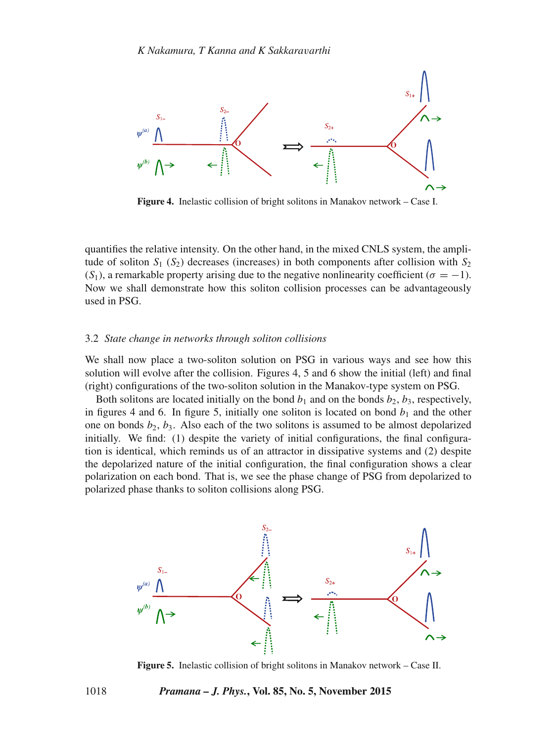

**Figure 4.** Inelastic collision of bright solitons in Manakov network – Case I.

quantifies the relative intensity. On the other hand, in the mixed CNLS system, the amplitude of soliton  $S_1$  ( $S_2$ ) decreases (increases) in both components after collision with  $S_2$  $(S_1)$ , a remarkable property arising due to the negative nonlinearity coefficient ( $\sigma = -1$ ). Now we shall demonstrate how this soliton collision processes can be advantageously used in PSG.

#### 3.2 *State change in networks through soliton collisions*

We shall now place a two-soliton solution on PSG in various ways and see how this solution will evolve after the collision. Figures 4, 5 and 6 show the initial (left) and final (right) configurations of the two-soliton solution in the Manakov-type system on PSG.

Both solitons are located initially on the bond  $b_1$  and on the bonds  $b_2$ ,  $b_3$ , respectively, in figures 4 and 6. In figure 5, initially one soliton is located on bond  $b_1$  and the other one on bonds  $b_2$ ,  $b_3$ . Also each of the two solitons is assumed to be almost depolarized initially. We find: (1) despite the variety of initial configurations, the final configuration is identical, which reminds us of an attractor in dissipative systems and (2) despite the depolarized nature of the initial configuration, the final configuration shows a clear polarization on each bond. That is, we see the phase change of PSG from depolarized to polarized phase thanks to soliton collisions along PSG.



**Figure 5.** Inelastic collision of bright solitons in Manakov network – Case II.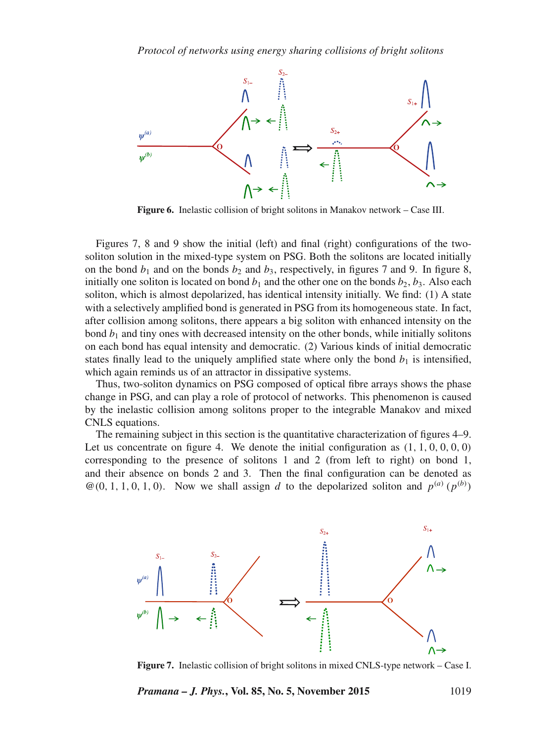

**Figure 6.** Inelastic collision of bright solitons in Manakov network – Case III.

Figures 7, 8 and 9 show the initial (left) and final (right) configurations of the twosoliton solution in the mixed-type system on PSG. Both the solitons are located initially on the bond  $b_1$  and on the bonds  $b_2$  and  $b_3$ , respectively, in figures 7 and 9. In figure 8, initially one soliton is located on bond  $b_1$  and the other one on the bonds  $b_2$ ,  $b_3$ . Also each soliton, which is almost depolarized, has identical intensity initially. We find: (1) A state with a selectively amplified bond is generated in PSG from its homogeneous state. In fact, after collision among solitons, there appears a big soliton with enhanced intensity on the bond  $b_1$  and tiny ones with decreased intensity on the other bonds, while initially solitons on each bond has equal intensity and democratic. (2) Various kinds of initial democratic states finally lead to the uniquely amplified state where only the bond  $b_1$  is intensified, which again reminds us of an attractor in dissipative systems.

Thus, two-soliton dynamics on PSG composed of optical fibre arrays shows the phase change in PSG, and can play a role of protocol of networks. This phenomenon is caused by the inelastic collision among solitons proper to the integrable Manakov and mixed CNLS equations.

The remaining subject in this section is the quantitative characterization of figures 4–9. Let us concentrate on figure 4. We denote the initial configuration as  $(1, 1, 0, 0, 0, 0)$ corresponding to the presence of solitons 1 and 2 (from left to right) on bond 1, and their absence on bonds 2 and 3. Then the final configuration can be denoted as  $\mathcal{Q}(0, 1, 1, 0, 1, 0)$ . Now we shall assign d to the depolarized soliton and  $p^{(a)}(p^{(b)})$ 



**Figure 7.** Inelastic collision of bright solitons in mixed CNLS-type network – Case I.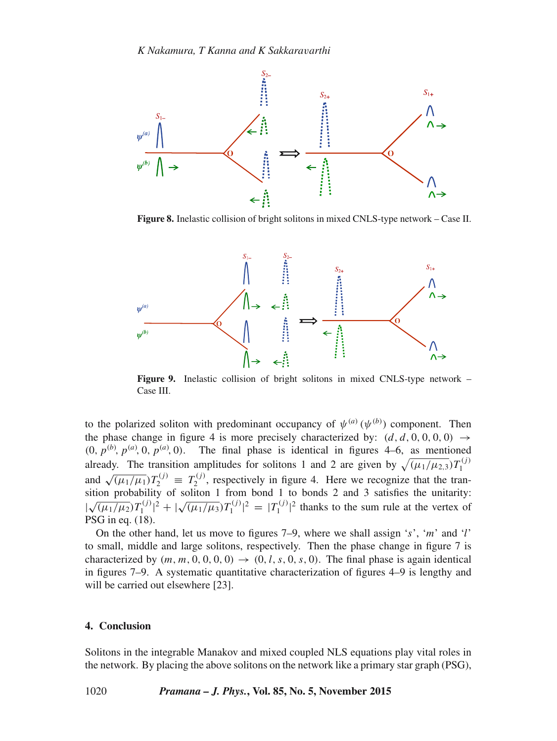

**Figure 8.** Inelastic collision of bright solitons in mixed CNLS-type network – Case II.



**Figure 9.** Inelastic collision of bright solitons in mixed CNLS-type network – Case III.

to the polarized soliton with predominant occupancy of  $\psi^{(a)}(\psi^{(b)})$  component. Then the phase change in figure 4 is more precisely characterized by:  $(d, d, 0, 0, 0, 0) \rightarrow$  $(0, p^{(b)}, p^{(a)}, 0, p^{(a)}, 0)$ . The final phase is identical in figures 4–6, as mentioned already. The transition amplitudes for solitons 1 and 2 are given by  $\sqrt{(\mu_1/\mu_{2,3})}T_1^{(j)}$ and  $\sqrt{(\mu_1/\mu_1)}T_2^{(j)} \equiv T_2^{(j)}$ , respectively in figure 4. Here we recognize that the tra  $2^{(1)}$ , respectively in figure 4. Here we recognize that the transition probability of soliton 1 from bond 1 to bonds 2 and 3 satisfies the unitarity:  $\sqrt{(\mu_1/\mu_2)}T_1^{(j)}|^2 + |\sqrt{(\mu_1/\mu_3)}T_1^{(j)}|^2 = |T_1^{(j)}|$  $\int_1^{(1)}$  (<sup>2</sup> thanks to the sum rule at the vertex of PSG in eq. (18).

On the other hand, let us move to figures  $7-9$ , where we shall assign 's', 'm' and 'l' to small, middle and large solitons, respectively. Then the phase change in figure 7 is characterized by  $(m, m, 0, 0, 0, 0) \rightarrow (0, l, s, 0, s, 0)$ . The final phase is again identical in figures 7–9. A systematic quantitative characterization of figures 4–9 is lengthy and will be carried out elsewhere [23].

#### **4. Conclusion**

Solitons in the integrable Manakov and mixed coupled NLS equations play vital roles in the network. By placing the above solitons on the network like a primary star graph (PSG),